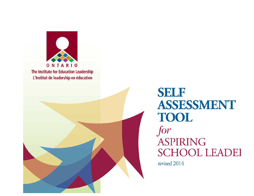



**SELF** ASSESSMENT **TOOL** for **ASPIRING SCHOOL LEADEI** revised 2014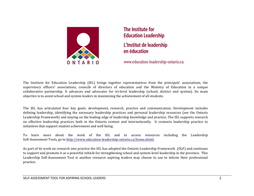

The Institute for **Education Leadership** L'Institut de leadership en éducation

www.education-leadership-ontario.ca

The Institute for Education Leadership (IEL) brings together representatives from the principals' associations, the supervisory officers' associations, councils of directors of education and the Ministry of Education in a unique collaborative partnership. It advances and advocates for tri-level leadership (school, district and system). Its main objective is to assist school and system leaders in maximizing the achievement of all students.

The IEL has articulated four key goals: development, research, practice and communication. Development includes defining leadership, identifying the necessary leadership practices and personal leadership resources (see the Ontario Leadership Framework) and staying on the leading edge of leadership knowledge and practice. The IEL supports research on effective leadership practices both in the Ontario context and internationally. It connects leadership practice to initiatives that support student achievement and well being.

To learn more about the work of the IEL and to access resources including the Leadership Self-Assessment Tools, go to http://www.education-leadership-ontario.ca/home.shtml.

As part of its work on research into practice the IEL has adopted the Ontario Leadership Framework (OLF) and continues to support and promote it as a powerful vehicle for strengthening school and system-level leadership in the province. This Leadership Self-Assessment Tool is another resource aspiring leaders may choose to use to inform their professional practice.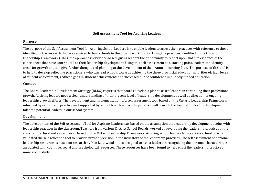## **Self Assessment Tool for Aspiring Leaders**

#### **Purpose**

The purpose of the Self Assessment Tool for Aspiring School Leaders is to enable leaders to assess their practices with reference to those identified in the research that are required to lead schools in the province of Ontario. Using the practices identified in the Ontario Leadership Framework (OLF), the approach is evidence-based, giving leaders the opportunity to reflect upon and cite evidence of the experiences that have contributed to their leadership development. Using this self assessment as a starting point, leaders can identify areas for growth and can give further thought and planning to the development of their Annual Learning Plan. The purpose of this tool is to help to develop reflective practitioners who can lead schools towards achieving the three provincial education priorities of: high levels of student achievement; reduced gaps in student achievement; and increased public confidence in publicly funded education.

## **Context**

The Board Leadership Development Strategy (BLDS) requires that boards develop a plan to assist leaders in continuing their professional growth. Aspiring leaders need a clear understanding of their present level of leadership development as well as direction in ongoing leadership growth efforts. The development and implementation of a self assessment tool, based on the Ontario Leadership Framework, informed by evidence of practice and supported by school boards across the province will provide the foundation for the development of talented potential leaders in our school system.

#### **Development**

The development of the Self Assessment Tool for Aspiring Leaders was based on the assumption that leadership development begins with leadership practices in the classroom. Teachers from various District School Boards worked at developing the leadership practices at the classroom, school and system level, based on the Ontario Leadership Framework. Aspiring school leaders from various school boards validated the self-reflection tool to provide further precision in the indicators of the leadership practices. The self assessment of personal leadership resources is based on research by Ken Leithwood and is designed to assist leaders in recognizing the personal characteristics associated with cognitive, social and psychological resources. These resources have been found to help enact the leadership practices more successfully.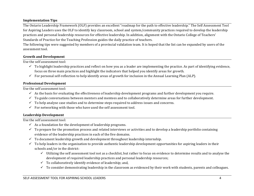# **Implementation Tips**

The Ontario Leadership Framework (OLF) provides an excellent "roadmap for the path to effective leadership." The Self Assessment Tool for Aspiring Leaders uses the OLF to identify key classroom, school and system/community practices required to develop the leadership practices and personal leadership resources for effective leadership. In addition, alignment with the Ontario College of Teachers' Standards of Practice for the Teaching Profession guides the daily practice of teachers.

The following tips were suggested by members of a provincial validation team. It is hoped that the list can be expanded by users of the assessment tool.

## **Growth and Development**

Use the self assessment tool:

- $\checkmark$  To highlight leadership practices and reflect on how you as a leader are implementing the practice. As part of identifying evidence, focus on three main practices and highlight the indicators that helped you identify areas for growth.
- $\checkmark$  For personal self-reflection to help identify areas of growth for inclusion in the Annual Learning Plan (ALP).

## **Professional Development**

Use the self assessment tool:

- $\checkmark$  As the basis for evaluating the effectiveness of leadership development programs and further development you require.
- $\checkmark$  To guide conversations between mentors and mentees and to collaboratively determine areas for further development.
- $\checkmark$  To help analyse case studies and to determine steps required to address issues and concerns.
- $\checkmark$  For networking with those who have used the self assessment tool.

# **Leadership Development**

Use the self assessment tool:

- $\checkmark$  As a foundation for the development of leadership programs.
- $\checkmark$  To prepare for the promotion process and related interviews or activities and to develop a leadership portfolio containing evidence of the leadership practices in each of the five domains.
- $\checkmark$  To document leadership growth and development throughout leadership internship.
- $\checkmark$  To help leaders in the organization to provide authentic leadership development opportunities for aspiring leaders in their schools and/or in the district:
	- $\checkmark$  Utilizing the self assessment tool not as a checklist, but rather to focus on evidence to determine results and to analyse the development of required leadership practices and personal leadership resources;
	- $\checkmark$  To collaboratively identify evidence of leadership; and,
	- $\checkmark$  To consider demonstrating leadership in the classroom as evidenced by their work with students, parents and colleagues.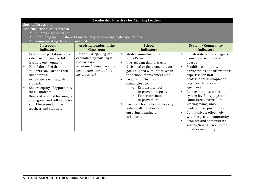|                                                                                                                                                                                                                                                                                                                                                                                    |                                                                                                                                               | <b>Leadership Practices for Aspiring Leaders</b>                                                                                                                                                                                                                                                                                                                                                                                                                                           |                                                                                                                                                                                                                                                                                                                                                                                                                                                                                                                            |  |  |  |
|------------------------------------------------------------------------------------------------------------------------------------------------------------------------------------------------------------------------------------------------------------------------------------------------------------------------------------------------------------------------------------|-----------------------------------------------------------------------------------------------------------------------------------------------|--------------------------------------------------------------------------------------------------------------------------------------------------------------------------------------------------------------------------------------------------------------------------------------------------------------------------------------------------------------------------------------------------------------------------------------------------------------------------------------------|----------------------------------------------------------------------------------------------------------------------------------------------------------------------------------------------------------------------------------------------------------------------------------------------------------------------------------------------------------------------------------------------------------------------------------------------------------------------------------------------------------------------------|--|--|--|
| <b>Setting Directions</b><br>Aspiring leaders contribute to<br>building a shared vision<br>identifying specific, shared short-term goals, creating high expectations<br>communicating the vision and goals                                                                                                                                                                         |                                                                                                                                               |                                                                                                                                                                                                                                                                                                                                                                                                                                                                                            |                                                                                                                                                                                                                                                                                                                                                                                                                                                                                                                            |  |  |  |
| <b>Classroom</b><br><b>Indicators</b>                                                                                                                                                                                                                                                                                                                                              | <b>Aspiring Leader in the</b><br><b>Classroom</b>                                                                                             | <b>School</b><br><b>Indicators</b>                                                                                                                                                                                                                                                                                                                                                                                                                                                         | <b>System / Community</b><br><b>Indicators</b>                                                                                                                                                                                                                                                                                                                                                                                                                                                                             |  |  |  |
| Establish expectations for a<br>safe, trusting, respectful<br>learning environment<br>Model the belief that<br>students can learn to their<br>full potential<br>Articulate learning goals for<br>students<br>Ensure equity of opportunity<br>for all students<br>Demonstrate that learning is<br>an ongoing and collaborative<br>effort between families,<br>teachers and students | How am I deepening and<br>extending my learning in<br>the classroom?<br>What am I doing in a more<br>meaningful way to share<br>my practices? | Model commitment to the<br>$\bullet$<br>school's vision.<br>Use relevant data to create<br>$\bullet$<br>divisional or department team<br>goals aligned with initiatives in<br>the school improvement plan<br>Lead school teams and<br>$\bullet$<br>committees to:<br>Establish school<br>$\Omega$<br>improvement goals<br>Foster continuous<br>$\Omega$<br>improvement<br>Facilitate team effectiveness by<br>$\bullet$<br>valuing all members and<br>ensuring meaningful<br>collaboration | Collaborate with colleagues<br>$\bullet$<br>from other schools and<br>boards<br>Establish community<br>$\bullet$<br>partnerships and utilize their<br>expertise for staff<br>professional development<br>(e.g., health, service<br>agencies)<br>Gain experience at the<br>system level - e.g., system<br>committees, curriculum<br>writing teams, union<br>leadership opportunities<br>Communicate effectively<br>with the greater community<br>Promote and demonstrate<br>system/board vision to the<br>greater community |  |  |  |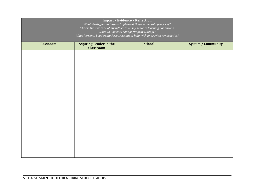| Impact / Evidence / Reflection<br>What strategies do I use to implement these leadership practices?<br>What is the evidence of my influence on my school's learning conditions?<br>What do I need to change/improve/adapt?<br>What Personal Leadership Resources might help with improving my practice? |                                                   |               |                           |  |  |
|---------------------------------------------------------------------------------------------------------------------------------------------------------------------------------------------------------------------------------------------------------------------------------------------------------|---------------------------------------------------|---------------|---------------------------|--|--|
| <b>Classroom</b>                                                                                                                                                                                                                                                                                        | <b>Aspiring Leader in the</b><br><b>Classroom</b> | <b>School</b> | <b>System / Community</b> |  |  |
|                                                                                                                                                                                                                                                                                                         |                                                   |               |                           |  |  |
|                                                                                                                                                                                                                                                                                                         |                                                   |               |                           |  |  |
|                                                                                                                                                                                                                                                                                                         |                                                   |               |                           |  |  |
|                                                                                                                                                                                                                                                                                                         |                                                   |               |                           |  |  |
|                                                                                                                                                                                                                                                                                                         |                                                   |               |                           |  |  |
|                                                                                                                                                                                                                                                                                                         |                                                   |               |                           |  |  |
|                                                                                                                                                                                                                                                                                                         |                                                   |               |                           |  |  |
|                                                                                                                                                                                                                                                                                                         |                                                   |               |                           |  |  |
|                                                                                                                                                                                                                                                                                                         |                                                   |               |                           |  |  |
|                                                                                                                                                                                                                                                                                                         |                                                   |               |                           |  |  |
|                                                                                                                                                                                                                                                                                                         |                                                   |               |                           |  |  |
|                                                                                                                                                                                                                                                                                                         |                                                   |               |                           |  |  |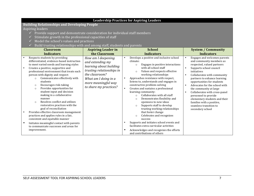#### Leadership Practices for Aspiring Leaders **Building Relationships and Developing People** Aspiring leaders  $\checkmark$  Provide support and demonstrate consideration for individual staff members Stimulate growth in the professional capacities of staff Model the school's values and practices  $\checkmark$  Build trusting relationships with and among staff, students and parents **Classroom Indicators Aspiring Leader in the Classroom School Indicators System / Community Indicators** Respects students by providing differentiated, evidence-based instruction to meet varied needs and learning styles Creates a positive, supportive and professional environment that treats each person with dignity and respect:  $\circ$  Communicates effectively with students  $\circ$  Encourages risk-taking  $\circ$  Provides opportunities for student input and decision making in a collaborative manner  $\circ$  Resolves conflict and utilizes restorative practices with the goal of reconciliation Provides effective classroom management practices and applies rules in a fair, consistent and equitable manner Initiates meaningful contact with parents to communicate successes and areas for improvement. *How am I deepening and extending my learning about building trusting relationships in the classroom? What am I doing in a more meaningful way to share my practices?* Develops a positive and inclusive school climate:  $\circ$  Engages in positive interactions with all school staff  $\circ$  Values and respects effective working relationships Approaches resistance with respect, listens to, understands and engages in constructive problem-solving • Creates and sustains a professional learning community:  $\circ$  Collaborates with all staff  $\circ$  Demonstrates flexibility and openness to new ideas  $\circ$  Supports staff to develop trusting working relationships that foster change  $\circ$  Celebrates and recognizes success • Supports and initiates school events and facilitates extra-curricular activities • Acknowledges and recognizes the efforts and contributions of others • Engages and welcomes parents and community members as respected, valued partners • Supports school council initiatives • Collaborates with community partners to enhance learning opportunities for students • Advocates for the school with the community at large Collaborates with cross-panel personnel to provide elementary students and their families with a positive, seamless transition to secondary school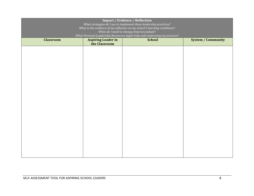| <b>Impact / Evidence / Reflection</b><br>What strategies do I use to implement these leadership practices?<br>What is the evidence of my influence on my school's learning conditions?<br>What do I need to change/improve/adapt?<br>What Personal Leadership Resources might help with improving my practice? |                                            |               |                           |  |  |
|----------------------------------------------------------------------------------------------------------------------------------------------------------------------------------------------------------------------------------------------------------------------------------------------------------------|--------------------------------------------|---------------|---------------------------|--|--|
| <b>Classroom</b>                                                                                                                                                                                                                                                                                               | <b>Aspiring Leader in</b><br>the Classroom | <b>School</b> | <b>System / Community</b> |  |  |
|                                                                                                                                                                                                                                                                                                                |                                            |               |                           |  |  |
|                                                                                                                                                                                                                                                                                                                |                                            |               |                           |  |  |
|                                                                                                                                                                                                                                                                                                                |                                            |               |                           |  |  |
|                                                                                                                                                                                                                                                                                                                |                                            |               |                           |  |  |
|                                                                                                                                                                                                                                                                                                                |                                            |               |                           |  |  |
|                                                                                                                                                                                                                                                                                                                |                                            |               |                           |  |  |
|                                                                                                                                                                                                                                                                                                                |                                            |               |                           |  |  |
|                                                                                                                                                                                                                                                                                                                |                                            |               |                           |  |  |
|                                                                                                                                                                                                                                                                                                                |                                            |               |                           |  |  |
|                                                                                                                                                                                                                                                                                                                |                                            |               |                           |  |  |
|                                                                                                                                                                                                                                                                                                                |                                            |               |                           |  |  |
|                                                                                                                                                                                                                                                                                                                |                                            |               |                           |  |  |
|                                                                                                                                                                                                                                                                                                                |                                            |               |                           |  |  |
|                                                                                                                                                                                                                                                                                                                |                                            |               |                           |  |  |
|                                                                                                                                                                                                                                                                                                                |                                            |               |                           |  |  |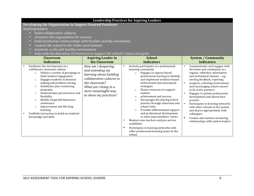| <b>Leadership Practices for Aspiring Leaders</b>                                                                                                                                                                                                                                                                                                                                                                                                                                                                                            |                                                                                                                                                                                           |                                                                                                                                                                                                                                                                                                                                                                                                                                                                                                                                                                                                                                                                                                                                |                                                                                                                                                                                                                                                                                                                                                                                                                                                                                                                                                                                                                  |  |  |  |  |
|---------------------------------------------------------------------------------------------------------------------------------------------------------------------------------------------------------------------------------------------------------------------------------------------------------------------------------------------------------------------------------------------------------------------------------------------------------------------------------------------------------------------------------------------|-------------------------------------------------------------------------------------------------------------------------------------------------------------------------------------------|--------------------------------------------------------------------------------------------------------------------------------------------------------------------------------------------------------------------------------------------------------------------------------------------------------------------------------------------------------------------------------------------------------------------------------------------------------------------------------------------------------------------------------------------------------------------------------------------------------------------------------------------------------------------------------------------------------------------------------|------------------------------------------------------------------------------------------------------------------------------------------------------------------------------------------------------------------------------------------------------------------------------------------------------------------------------------------------------------------------------------------------------------------------------------------------------------------------------------------------------------------------------------------------------------------------------------------------------------------|--|--|--|--|
|                                                                                                                                                                                                                                                                                                                                                                                                                                                                                                                                             | Developing the Organization to Support Desired Practices:                                                                                                                                 |                                                                                                                                                                                                                                                                                                                                                                                                                                                                                                                                                                                                                                                                                                                                |                                                                                                                                                                                                                                                                                                                                                                                                                                                                                                                                                                                                                  |  |  |  |  |
| Aspiring leaders                                                                                                                                                                                                                                                                                                                                                                                                                                                                                                                            |                                                                                                                                                                                           |                                                                                                                                                                                                                                                                                                                                                                                                                                                                                                                                                                                                                                                                                                                                |                                                                                                                                                                                                                                                                                                                                                                                                                                                                                                                                                                                                                  |  |  |  |  |
| build collaborative cultures                                                                                                                                                                                                                                                                                                                                                                                                                                                                                                                |                                                                                                                                                                                           |                                                                                                                                                                                                                                                                                                                                                                                                                                                                                                                                                                                                                                                                                                                                |                                                                                                                                                                                                                                                                                                                                                                                                                                                                                                                                                                                                                  |  |  |  |  |
| structure the organization for success                                                                                                                                                                                                                                                                                                                                                                                                                                                                                                      |                                                                                                                                                                                           |                                                                                                                                                                                                                                                                                                                                                                                                                                                                                                                                                                                                                                                                                                                                |                                                                                                                                                                                                                                                                                                                                                                                                                                                                                                                                                                                                                  |  |  |  |  |
| build productive relationships with families and the community<br>$\checkmark$                                                                                                                                                                                                                                                                                                                                                                                                                                                              |                                                                                                                                                                                           |                                                                                                                                                                                                                                                                                                                                                                                                                                                                                                                                                                                                                                                                                                                                |                                                                                                                                                                                                                                                                                                                                                                                                                                                                                                                                                                                                                  |  |  |  |  |
| connect the school to the wider environment                                                                                                                                                                                                                                                                                                                                                                                                                                                                                                 |                                                                                                                                                                                           |                                                                                                                                                                                                                                                                                                                                                                                                                                                                                                                                                                                                                                                                                                                                |                                                                                                                                                                                                                                                                                                                                                                                                                                                                                                                                                                                                                  |  |  |  |  |
| maintain a safe and healthy environment                                                                                                                                                                                                                                                                                                                                                                                                                                                                                                     |                                                                                                                                                                                           |                                                                                                                                                                                                                                                                                                                                                                                                                                                                                                                                                                                                                                                                                                                                |                                                                                                                                                                                                                                                                                                                                                                                                                                                                                                                                                                                                                  |  |  |  |  |
| help with the allocation of resources to support the school's vision and goals                                                                                                                                                                                                                                                                                                                                                                                                                                                              |                                                                                                                                                                                           |                                                                                                                                                                                                                                                                                                                                                                                                                                                                                                                                                                                                                                                                                                                                |                                                                                                                                                                                                                                                                                                                                                                                                                                                                                                                                                                                                                  |  |  |  |  |
| <b>Classroom</b>                                                                                                                                                                                                                                                                                                                                                                                                                                                                                                                            | <b>Aspiring Leader in</b>                                                                                                                                                                 | <b>School</b>                                                                                                                                                                                                                                                                                                                                                                                                                                                                                                                                                                                                                                                                                                                  | <b>System / Community</b>                                                                                                                                                                                                                                                                                                                                                                                                                                                                                                                                                                                        |  |  |  |  |
| <b>Indicators</b>                                                                                                                                                                                                                                                                                                                                                                                                                                                                                                                           | the Classroom                                                                                                                                                                             | <b>Indicators</b>                                                                                                                                                                                                                                                                                                                                                                                                                                                                                                                                                                                                                                                                                                              | <b>Indicators</b>                                                                                                                                                                                                                                                                                                                                                                                                                                                                                                                                                                                                |  |  |  |  |
| Facilitates the development of a<br>$\bullet$<br>collaborate classroom culture:<br>Utilizes a variety of groupings to<br>$\circ$<br>build student engagement<br>Engages students in decision-<br>$\circ$<br>making and problem-solving<br>Establishes peer mentoring<br>$\circ$<br>programs;<br>Demonstrates perseverance and<br>$\circ$<br>flexibility<br>Models respectful behaviour,<br>$\circ$<br>continuous<br>improvement and life-long<br>$\circ$<br>learning<br>Scaffolds instruction to build on students'<br>knowledge and skills | How am I deepening<br>and extending my<br>learning about building<br>collaborative cultures in<br>the classroom?<br>What am I doing in a<br>more meaningful way<br>to share my practices? | Actively participates in a professional<br>$\bullet$<br>learning community:<br>Engages in inquiry-based<br>$\circ$<br>professional learning to identify<br>and implement evidence-based<br>instructional and assessment<br>strategies<br>Shares resources to support<br>$\circ$<br>student<br>achievement and success<br>$\circ$<br>Encourages the sharing of best<br>$\circ$<br>practice through classroom and<br>school visits<br>Provides differentiated support<br>$\circ$<br>and professional development<br>to meet team members' needs<br>Mentors new teachers and pre-service<br>$\bullet$<br>candidates<br>Participates in learning networks with<br>$\bullet$<br>other professional learning teams in the<br>school. | Communicates and engages with<br>$\bullet$<br>the home and community in a<br>regular, reflective, informative<br>and invitational manner - e.g.,<br>inviting feedback, reporting<br>progress, soliciting involvement,<br>$\bullet$<br>and encouraging school council<br>to be active partners<br>Engages in system professional<br>$\bullet$<br>development and shares best<br>practice<br>$\bullet$<br>Participates in learning networks<br>with other schools in the system<br>and shares appropriately with<br>colleagues<br>$\bullet$<br>Creates and sustains mentoring<br>relationships with system leaders |  |  |  |  |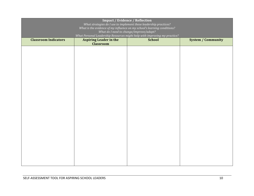| <b>Impact / Evidence / Reflection</b><br>What strategies do I use to implement these leadership practices?<br>What is the evidence of my influence on my school's learning conditions?<br>What do I need to change/improve/adapt?<br>What Personal Leadership Resources might help with improving my practice? |                               |               |                           |  |  |
|----------------------------------------------------------------------------------------------------------------------------------------------------------------------------------------------------------------------------------------------------------------------------------------------------------------|-------------------------------|---------------|---------------------------|--|--|
| <b>Classroom Indicators</b>                                                                                                                                                                                                                                                                                    | <b>Aspiring Leader in the</b> | <b>School</b> | <b>System / Community</b> |  |  |
|                                                                                                                                                                                                                                                                                                                | <b>Classroom</b>              |               |                           |  |  |
|                                                                                                                                                                                                                                                                                                                |                               |               |                           |  |  |
|                                                                                                                                                                                                                                                                                                                |                               |               |                           |  |  |
|                                                                                                                                                                                                                                                                                                                |                               |               |                           |  |  |
|                                                                                                                                                                                                                                                                                                                |                               |               |                           |  |  |
|                                                                                                                                                                                                                                                                                                                |                               |               |                           |  |  |
|                                                                                                                                                                                                                                                                                                                |                               |               |                           |  |  |
|                                                                                                                                                                                                                                                                                                                |                               |               |                           |  |  |
|                                                                                                                                                                                                                                                                                                                |                               |               |                           |  |  |
|                                                                                                                                                                                                                                                                                                                |                               |               |                           |  |  |
|                                                                                                                                                                                                                                                                                                                |                               |               |                           |  |  |
|                                                                                                                                                                                                                                                                                                                |                               |               |                           |  |  |
|                                                                                                                                                                                                                                                                                                                |                               |               |                           |  |  |
|                                                                                                                                                                                                                                                                                                                |                               |               |                           |  |  |
|                                                                                                                                                                                                                                                                                                                |                               |               |                           |  |  |
|                                                                                                                                                                                                                                                                                                                |                               |               |                           |  |  |
|                                                                                                                                                                                                                                                                                                                |                               |               |                           |  |  |
|                                                                                                                                                                                                                                                                                                                |                               |               |                           |  |  |
|                                                                                                                                                                                                                                                                                                                |                               |               |                           |  |  |
|                                                                                                                                                                                                                                                                                                                |                               |               |                           |  |  |
|                                                                                                                                                                                                                                                                                                                |                               |               |                           |  |  |
|                                                                                                                                                                                                                                                                                                                |                               |               |                           |  |  |
|                                                                                                                                                                                                                                                                                                                |                               |               |                           |  |  |
|                                                                                                                                                                                                                                                                                                                |                               |               |                           |  |  |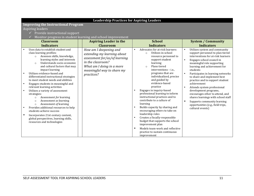|                                                                                                                                                                                                                                                                                                                                                                                                                                                                                                                                                                                                                                                                                                                                                                                                 | <b>Leadership Practices for Aspiring Leaders</b>                                                                                                                                     |                                                                                                                                                                                                                                                                                                                                                                                                                                                                                                                                                                                                                                                                                                       |                                                                                                                                                                                                                                                                                                                                                                                                                                                                                                                                                                                                                   |  |  |
|-------------------------------------------------------------------------------------------------------------------------------------------------------------------------------------------------------------------------------------------------------------------------------------------------------------------------------------------------------------------------------------------------------------------------------------------------------------------------------------------------------------------------------------------------------------------------------------------------------------------------------------------------------------------------------------------------------------------------------------------------------------------------------------------------|--------------------------------------------------------------------------------------------------------------------------------------------------------------------------------------|-------------------------------------------------------------------------------------------------------------------------------------------------------------------------------------------------------------------------------------------------------------------------------------------------------------------------------------------------------------------------------------------------------------------------------------------------------------------------------------------------------------------------------------------------------------------------------------------------------------------------------------------------------------------------------------------------------|-------------------------------------------------------------------------------------------------------------------------------------------------------------------------------------------------------------------------------------------------------------------------------------------------------------------------------------------------------------------------------------------------------------------------------------------------------------------------------------------------------------------------------------------------------------------------------------------------------------------|--|--|
| <b>Improving the Instructional Program</b>                                                                                                                                                                                                                                                                                                                                                                                                                                                                                                                                                                                                                                                                                                                                                      |                                                                                                                                                                                      |                                                                                                                                                                                                                                                                                                                                                                                                                                                                                                                                                                                                                                                                                                       |                                                                                                                                                                                                                                                                                                                                                                                                                                                                                                                                                                                                                   |  |  |
| Aspiring leaders                                                                                                                                                                                                                                                                                                                                                                                                                                                                                                                                                                                                                                                                                                                                                                                |                                                                                                                                                                                      |                                                                                                                                                                                                                                                                                                                                                                                                                                                                                                                                                                                                                                                                                                       |                                                                                                                                                                                                                                                                                                                                                                                                                                                                                                                                                                                                                   |  |  |
| Provide instructional support<br>✓                                                                                                                                                                                                                                                                                                                                                                                                                                                                                                                                                                                                                                                                                                                                                              |                                                                                                                                                                                      |                                                                                                                                                                                                                                                                                                                                                                                                                                                                                                                                                                                                                                                                                                       |                                                                                                                                                                                                                                                                                                                                                                                                                                                                                                                                                                                                                   |  |  |
|                                                                                                                                                                                                                                                                                                                                                                                                                                                                                                                                                                                                                                                                                                                                                                                                 | Monitor progress in student learning and school improvement                                                                                                                          |                                                                                                                                                                                                                                                                                                                                                                                                                                                                                                                                                                                                                                                                                                       |                                                                                                                                                                                                                                                                                                                                                                                                                                                                                                                                                                                                                   |  |  |
| <b>Classroom</b>                                                                                                                                                                                                                                                                                                                                                                                                                                                                                                                                                                                                                                                                                                                                                                                | <b>Aspiring Leader in the</b>                                                                                                                                                        | <b>School</b>                                                                                                                                                                                                                                                                                                                                                                                                                                                                                                                                                                                                                                                                                         | <b>System / Community</b>                                                                                                                                                                                                                                                                                                                                                                                                                                                                                                                                                                                         |  |  |
| <b>Indicators</b>                                                                                                                                                                                                                                                                                                                                                                                                                                                                                                                                                                                                                                                                                                                                                                               | <b>Classroom</b>                                                                                                                                                                     | <b>Indicators</b>                                                                                                                                                                                                                                                                                                                                                                                                                                                                                                                                                                                                                                                                                     | <b>Indicators</b>                                                                                                                                                                                                                                                                                                                                                                                                                                                                                                                                                                                                 |  |  |
| Uses data to establish student and<br>class learning profiles:<br>Assesses skills, knowledge,<br>$\circ$<br>learning styles and interests<br>Understands socio-economic<br>$\circ$<br>and cultural factors that may<br>impact learning<br>Utilizes evidence-based and<br>differentiated instructional strategies<br>to meet student needs and abilities<br>Engages students in meaningful and<br>$\bullet$<br>relevant learning activities<br>Utilizes a variety of assessment<br>strategies:<br>Assessment for learning<br>$\circ$<br>Assessment as learning<br>$\circ$<br>Assessment of learning<br>$\circ$<br>Provides additional resources to help<br>students achieve success<br>Incorporates 21st century content,<br>global perspectives, learning skills,<br>resources and technologies | How am I deepening and<br>extending my learning about<br>assessment for/as/of learning<br>in the classroom?<br>What am I doing in a more<br>meaningful way to share my<br>practices? | Advocates for at-risk learners:<br>Utilizes in-school<br>$\circ$<br>resource personnel to<br>support student<br>learning<br>Plans tiered<br>$\circ$<br>interventions - i.e<br>programs that are<br>individualized, precise<br>and guided by<br>evidence-based<br>practice<br>Engages in inquiry-based<br>professional learning to inform<br>instructional practices and to<br>contribute to a culture of<br>learning<br>Builds capacity by sharing and<br>encouraging others to take on<br>leadership roles<br>Creates a fiscally-responsible<br>$\bullet$<br>budget that supports the school<br>improvement plan<br>Models team-work and reflective<br>practice to sustain continuous<br>improvement | Utilizes system and community<br>$\bullet$<br>support personnel to plan tiered<br>interventions for at-risk learners<br>Engages school council in<br>$\bullet$<br>meaningful role supporting<br>learning and achievement for<br>students<br>Participates in learning networks<br>to share and implement best<br>practice and to support student<br>achievement<br>Attends system professional<br>$\bullet$<br>development programs,<br>encourages other to attend, and<br>shares learnings with school staff<br>$\bullet$<br>Supports community learning<br>opportunities (e.g., field trips,<br>cultural events) |  |  |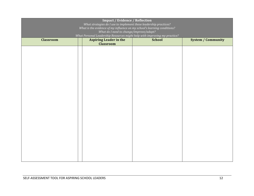| <b>Impact / Evidence / Reflection</b><br>What strategies do I use to implement these leadership practices?<br>What is the evidence of my influence on my school's learning conditions?<br>What do I need to change/improve/adapt?<br>What Personal Leadership Resources might help with improving my practice? |                                                   |               |                           |  |
|----------------------------------------------------------------------------------------------------------------------------------------------------------------------------------------------------------------------------------------------------------------------------------------------------------------|---------------------------------------------------|---------------|---------------------------|--|
| <b>Classroom</b>                                                                                                                                                                                                                                                                                               | <b>Aspiring Leader in the</b><br><b>Classroom</b> | <b>School</b> | <b>System / Community</b> |  |
|                                                                                                                                                                                                                                                                                                                |                                                   |               |                           |  |
|                                                                                                                                                                                                                                                                                                                |                                                   |               |                           |  |
|                                                                                                                                                                                                                                                                                                                |                                                   |               |                           |  |
|                                                                                                                                                                                                                                                                                                                |                                                   |               |                           |  |
|                                                                                                                                                                                                                                                                                                                |                                                   |               |                           |  |
|                                                                                                                                                                                                                                                                                                                |                                                   |               |                           |  |
|                                                                                                                                                                                                                                                                                                                |                                                   |               |                           |  |
|                                                                                                                                                                                                                                                                                                                |                                                   |               |                           |  |
|                                                                                                                                                                                                                                                                                                                |                                                   |               |                           |  |
|                                                                                                                                                                                                                                                                                                                |                                                   |               |                           |  |
|                                                                                                                                                                                                                                                                                                                |                                                   |               |                           |  |
|                                                                                                                                                                                                                                                                                                                |                                                   |               |                           |  |
|                                                                                                                                                                                                                                                                                                                |                                                   |               |                           |  |
|                                                                                                                                                                                                                                                                                                                |                                                   |               |                           |  |
|                                                                                                                                                                                                                                                                                                                |                                                   |               |                           |  |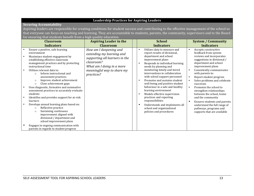|                                                                                                                                            | <b>Securing Accountability</b>                                                                                                                                                                                                                                                                                                                                                                                                                                                                                                                                                                                                                                                                                                                |                                                                                                                                                                              |  |                                                                                                                                                                                                                                                                                                                                                                                                                                                                                                                                                                                                              |                                                                                                                                                                                                                                                                                                                                                                                                                                                                                                                                                                    |  |  |
|--------------------------------------------------------------------------------------------------------------------------------------------|-----------------------------------------------------------------------------------------------------------------------------------------------------------------------------------------------------------------------------------------------------------------------------------------------------------------------------------------------------------------------------------------------------------------------------------------------------------------------------------------------------------------------------------------------------------------------------------------------------------------------------------------------------------------------------------------------------------------------------------------------|------------------------------------------------------------------------------------------------------------------------------------------------------------------------------|--|--------------------------------------------------------------------------------------------------------------------------------------------------------------------------------------------------------------------------------------------------------------------------------------------------------------------------------------------------------------------------------------------------------------------------------------------------------------------------------------------------------------------------------------------------------------------------------------------------------------|--------------------------------------------------------------------------------------------------------------------------------------------------------------------------------------------------------------------------------------------------------------------------------------------------------------------------------------------------------------------------------------------------------------------------------------------------------------------------------------------------------------------------------------------------------------------|--|--|
| Aspiring leaders are responsible for creating conditions for student success and contributing to the effective management of the school so |                                                                                                                                                                                                                                                                                                                                                                                                                                                                                                                                                                                                                                                                                                                                               |                                                                                                                                                                              |  |                                                                                                                                                                                                                                                                                                                                                                                                                                                                                                                                                                                                              |                                                                                                                                                                                                                                                                                                                                                                                                                                                                                                                                                                    |  |  |
| that everyone can focus on teaching and learning. They are accountable to students, parents, the community, supervisors and to the Board   |                                                                                                                                                                                                                                                                                                                                                                                                                                                                                                                                                                                                                                                                                                                                               |                                                                                                                                                                              |  |                                                                                                                                                                                                                                                                                                                                                                                                                                                                                                                                                                                                              |                                                                                                                                                                                                                                                                                                                                                                                                                                                                                                                                                                    |  |  |
|                                                                                                                                            | for ensuring that students benefit from a high quality education.                                                                                                                                                                                                                                                                                                                                                                                                                                                                                                                                                                                                                                                                             |                                                                                                                                                                              |  |                                                                                                                                                                                                                                                                                                                                                                                                                                                                                                                                                                                                              |                                                                                                                                                                                                                                                                                                                                                                                                                                                                                                                                                                    |  |  |
|                                                                                                                                            | <b>Classroom</b>                                                                                                                                                                                                                                                                                                                                                                                                                                                                                                                                                                                                                                                                                                                              | <b>Aspiring Leader in the</b>                                                                                                                                                |  | <b>School</b>                                                                                                                                                                                                                                                                                                                                                                                                                                                                                                                                                                                                | <b>System / Community</b>                                                                                                                                                                                                                                                                                                                                                                                                                                                                                                                                          |  |  |
|                                                                                                                                            | <b>Indicators</b>                                                                                                                                                                                                                                                                                                                                                                                                                                                                                                                                                                                                                                                                                                                             | <b>Classroom</b>                                                                                                                                                             |  | <b>Indicators</b>                                                                                                                                                                                                                                                                                                                                                                                                                                                                                                                                                                                            | <b>Indicators</b>                                                                                                                                                                                                                                                                                                                                                                                                                                                                                                                                                  |  |  |
|                                                                                                                                            | Ensure a positive, safe learning<br>environment<br>Maximizes student engagement by<br>establishing effective classroom<br>management practices and by protecting<br>instructional time<br>Utilizes relevant data to:<br>Inform instructional and<br>$\circ$<br>assessment practices<br>Improve student achievement<br>$\circ$<br>Close achievement gaps<br>$\circ$<br>Uses diagnostic, formative and summative<br>assessment practices to accurately evaluate<br>students<br>Identifies and provides support for at-risk<br>learners<br>Develops annual learning plans based on:<br>Reflective practice<br>$\circ$<br>Sustaining continuous<br>$\circ$<br>improvement aligned with<br>divisional / department and<br>school improvement plans | How am I deepening and<br>extending my learning and<br>supporting all learners in the<br>classroom?<br>What am I doing in a more<br>meaningful way to share my<br>practices? |  | Utilizes data to measure and<br>report results of divisional,<br>department and school<br>improvement plans<br>Responds to individual learning<br>$\bullet$<br>needs by planning and<br>monitoring timely and tiered<br>interventions in collaboration<br>with school support personnel<br>Promotes and sustains student<br>well-being and positive student<br>behaviour in a safe and healthy<br>learning environment<br>Models effective supervision<br>$\bullet$<br>practices and reporting<br>responsibilities<br>Understands and implements all<br>school and organizational<br>policies and procedures | Accepts constructive<br>$\bullet$<br>feedback from system<br>reviews and incorporates<br>suggestions in divisional /<br>department and school<br>improvement plans<br>Consistently communicates<br>with parents to:<br>Report student progress<br>$\bullet$<br>Solve problems and celebrate<br>$\bullet$<br>successes<br>Promotes the school to<br>$\bullet$<br>strengthen relationships<br>between the school, home<br>and the community<br>Ensures students and parents<br>understand the full range of<br>pathways, programs and<br>supports that are available |  |  |
|                                                                                                                                            | Engages in ongoing communication with<br>parents in regards to student progress                                                                                                                                                                                                                                                                                                                                                                                                                                                                                                                                                                                                                                                               |                                                                                                                                                                              |  |                                                                                                                                                                                                                                                                                                                                                                                                                                                                                                                                                                                                              |                                                                                                                                                                                                                                                                                                                                                                                                                                                                                                                                                                    |  |  |

## **Leadership Practices for Aspiring Leaders**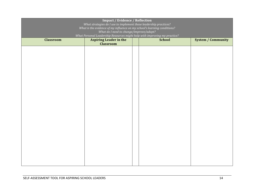| <b>Impact / Evidence / Reflection</b><br>What strategies do I use to implement these leadership practices?<br>What is the evidence of my influence on my school's learning conditions?<br>What do I need to change/improve/adapt? |                                                                                                                                                          |  |  |  |  |  |
|-----------------------------------------------------------------------------------------------------------------------------------------------------------------------------------------------------------------------------------|----------------------------------------------------------------------------------------------------------------------------------------------------------|--|--|--|--|--|
| <b>Classroom</b>                                                                                                                                                                                                                  | What Personal Leadership Resources might help with improving my practice?<br><b>School</b><br><b>System / Community</b><br><b>Aspiring Leader in the</b> |  |  |  |  |  |
|                                                                                                                                                                                                                                   | <b>Classroom</b>                                                                                                                                         |  |  |  |  |  |
|                                                                                                                                                                                                                                   |                                                                                                                                                          |  |  |  |  |  |
|                                                                                                                                                                                                                                   |                                                                                                                                                          |  |  |  |  |  |
|                                                                                                                                                                                                                                   |                                                                                                                                                          |  |  |  |  |  |
|                                                                                                                                                                                                                                   |                                                                                                                                                          |  |  |  |  |  |
|                                                                                                                                                                                                                                   |                                                                                                                                                          |  |  |  |  |  |
|                                                                                                                                                                                                                                   |                                                                                                                                                          |  |  |  |  |  |
|                                                                                                                                                                                                                                   |                                                                                                                                                          |  |  |  |  |  |
|                                                                                                                                                                                                                                   |                                                                                                                                                          |  |  |  |  |  |
|                                                                                                                                                                                                                                   |                                                                                                                                                          |  |  |  |  |  |
|                                                                                                                                                                                                                                   |                                                                                                                                                          |  |  |  |  |  |
|                                                                                                                                                                                                                                   |                                                                                                                                                          |  |  |  |  |  |
|                                                                                                                                                                                                                                   |                                                                                                                                                          |  |  |  |  |  |
|                                                                                                                                                                                                                                   |                                                                                                                                                          |  |  |  |  |  |
|                                                                                                                                                                                                                                   |                                                                                                                                                          |  |  |  |  |  |
|                                                                                                                                                                                                                                   |                                                                                                                                                          |  |  |  |  |  |
|                                                                                                                                                                                                                                   |                                                                                                                                                          |  |  |  |  |  |
|                                                                                                                                                                                                                                   |                                                                                                                                                          |  |  |  |  |  |
|                                                                                                                                                                                                                                   |                                                                                                                                                          |  |  |  |  |  |
|                                                                                                                                                                                                                                   |                                                                                                                                                          |  |  |  |  |  |
|                                                                                                                                                                                                                                   |                                                                                                                                                          |  |  |  |  |  |
|                                                                                                                                                                                                                                   |                                                                                                                                                          |  |  |  |  |  |
|                                                                                                                                                                                                                                   |                                                                                                                                                          |  |  |  |  |  |
|                                                                                                                                                                                                                                   |                                                                                                                                                          |  |  |  |  |  |
|                                                                                                                                                                                                                                   |                                                                                                                                                          |  |  |  |  |  |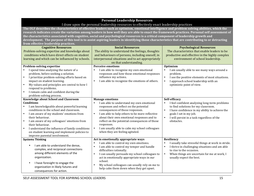## **Personal Leadership Resources**

## I draw upon the personal leadership resources to effectively enact leadership practices

The OLF describes the characteristics of effective leaders such as optimism, emotional intelligence and problem solving abilities, which the research indicates create the variation among leaders in how well they are able to enact the framework practices. Personal self assessment of the characteristics associated with cognitive, social and psychological resources is a critical component of leadership growth and development. The purpose of this tool is to assist aspiring leaders in identifying those characteristics that are contributing to or detracting **from effective leadership practices. Cognitive Resources** Problem-solving expertise and knowledge about conditions which have direct effects on student learning and which can be influenced by schools. **Social Resources** The ability to understand the feelings, thoughts and behaviours of persons, including oneself, in interpersonal situations and to act appropriately on that understanding. **Psychological Resources** The characteristics that enable leaders to be productive and effective in the highly complex environment of school leadership. **Problem-solving expertise** I spend time analyzing the nature of a problem, before seeking a solution. • I prioritize problem-solving efforts based on impact on student learning. My values and principles are central to how I respond to problems. I remain calm and confident during the problem-solving process. **Perceive emotions** • I am able to recognize my own emotional responses and how those emotional responses influence my actions. • I am able to recognize the emotions of others. **Optimism** I am usually able to see many ways around a problem. • I see the positive elements of most situations.<br>• I annuare school leadership with an I approach school leadership with an optimistic point of view. **Knowledge about School and Classroom Conditions** I am knowledgeable about powerful learning conditions in the school and classroom. I am aware of my students' emotions from their behaviour. • I am aware of my colleagues' emotions from their behaviour. I understand the influence of family conditions on student learning and implement policies to improve parental involvement. **Manage emotions** I am able to understand my own emotional responses and reflect on the potential consequences of those responses. • I am able to help others to be more reflective about their own emotional responses and to reflect on the potential consequences of those responses. I am usually able to calm my school colleagues when they are feeling agitated. **Self-efficacy** • I feel confident analyzing long-term problems to find solutions for my classroom. • I have confidence in my ability to achieve the goals I set in my job. • I will persist in a task regardless of the obstacles. **Systems Thinking** • I am able to understand the dense. complex, and reciprocal connections among different elements of the organization. • I have foresight to engage the organization in likely futures and consequences for action. Act in emotionally appropriate ways • I am able to control my own emotions. • I am able to control my temper and handle difficulties rationally. • I can usually persuade my school colleagues to act in emotionally appropriate ways in our school. • My school colleagues can usually rely on me to help calm them down when they get upset. **Resiliency** • I usually take stressful things at work in stride. • I thrive in challenging situations and am able to rise to the occasion. • When things are uncertain for me at work, I usually expect the best.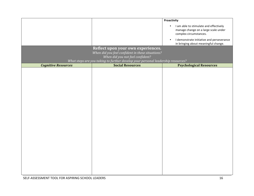|                            |                                                                                                             | Proactivity                                                                                                           |
|----------------------------|-------------------------------------------------------------------------------------------------------------|-----------------------------------------------------------------------------------------------------------------------|
|                            |                                                                                                             | I am able to stimulate and effectively<br>$\bullet$<br>manage change on a large scale under<br>complex circumstances. |
|                            |                                                                                                             | I demonstrate initiative and perseverance<br>$\bullet$<br>in bringing about meaningful change.                        |
|                            | Reflect upon your own experiences.                                                                          |                                                                                                                       |
|                            | When did you feel confident in these situations?                                                            |                                                                                                                       |
|                            | When did you not feel confident?                                                                            |                                                                                                                       |
| <b>Cognitive Resources</b> | What steps are you taking to further develop your personal leadership resources?<br><b>Social Resources</b> | <b>Psychological Resources</b>                                                                                        |
|                            |                                                                                                             |                                                                                                                       |
|                            |                                                                                                             |                                                                                                                       |
|                            |                                                                                                             |                                                                                                                       |
|                            |                                                                                                             |                                                                                                                       |
|                            |                                                                                                             |                                                                                                                       |
|                            |                                                                                                             |                                                                                                                       |
|                            |                                                                                                             |                                                                                                                       |
|                            |                                                                                                             |                                                                                                                       |
|                            |                                                                                                             |                                                                                                                       |
|                            |                                                                                                             |                                                                                                                       |
|                            |                                                                                                             |                                                                                                                       |
|                            |                                                                                                             |                                                                                                                       |
|                            |                                                                                                             |                                                                                                                       |
|                            |                                                                                                             |                                                                                                                       |
|                            |                                                                                                             |                                                                                                                       |
|                            |                                                                                                             |                                                                                                                       |
|                            |                                                                                                             |                                                                                                                       |
|                            |                                                                                                             |                                                                                                                       |
|                            |                                                                                                             |                                                                                                                       |
|                            |                                                                                                             |                                                                                                                       |
|                            |                                                                                                             |                                                                                                                       |
|                            |                                                                                                             |                                                                                                                       |
|                            |                                                                                                             |                                                                                                                       |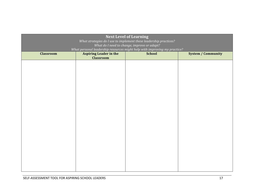| <b>Next Level of Learning</b><br>What strategies do I use to implement these leadership practices?<br>What do I need to change, improve or adapt?<br>What personal leadership resources might help with improving my practice? |                               |               |                           |  |
|--------------------------------------------------------------------------------------------------------------------------------------------------------------------------------------------------------------------------------|-------------------------------|---------------|---------------------------|--|
| <b>Classroom</b>                                                                                                                                                                                                               | <b>Aspiring Leader in the</b> | <b>School</b> | <b>System / Community</b> |  |
|                                                                                                                                                                                                                                | <b>Classroom</b>              |               |                           |  |
|                                                                                                                                                                                                                                |                               |               |                           |  |
|                                                                                                                                                                                                                                |                               |               |                           |  |
|                                                                                                                                                                                                                                |                               |               |                           |  |
|                                                                                                                                                                                                                                |                               |               |                           |  |
|                                                                                                                                                                                                                                |                               |               |                           |  |
|                                                                                                                                                                                                                                |                               |               |                           |  |
|                                                                                                                                                                                                                                |                               |               |                           |  |
|                                                                                                                                                                                                                                |                               |               |                           |  |
|                                                                                                                                                                                                                                |                               |               |                           |  |
|                                                                                                                                                                                                                                |                               |               |                           |  |
|                                                                                                                                                                                                                                |                               |               |                           |  |
|                                                                                                                                                                                                                                |                               |               |                           |  |
|                                                                                                                                                                                                                                |                               |               |                           |  |
|                                                                                                                                                                                                                                |                               |               |                           |  |
|                                                                                                                                                                                                                                |                               |               |                           |  |
|                                                                                                                                                                                                                                |                               |               |                           |  |
|                                                                                                                                                                                                                                |                               |               |                           |  |
|                                                                                                                                                                                                                                |                               |               |                           |  |
|                                                                                                                                                                                                                                |                               |               |                           |  |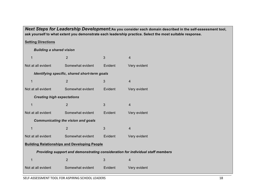*Next Steps for Leadership Development:***As you consider each domain described in the self-assessment tool, ask yourself to what extent you demonstrate each leadership practice. Select the most suitable response.**

**Setting Directions**

*Building a shared vision*

|                                           | 1                                                                              | $\overline{2}$                                      | 3       | $\overline{4}$ |  |  |  |
|-------------------------------------------|--------------------------------------------------------------------------------|-----------------------------------------------------|---------|----------------|--|--|--|
|                                           | Not at all evident                                                             | Somewhat evident                                    | Evident | Very evident   |  |  |  |
|                                           | Identifying specific, shared short-term goals                                  |                                                     |         |                |  |  |  |
|                                           | 1                                                                              | $\overline{2}$                                      | 3       | $\overline{4}$ |  |  |  |
|                                           | Not at all evident                                                             | Somewhat evident                                    | Evident | Very evident   |  |  |  |
|                                           | <b>Creating high expectations</b>                                              |                                                     |         |                |  |  |  |
|                                           | 1                                                                              | $\overline{2}$                                      | 3       | $\overline{4}$ |  |  |  |
|                                           | Not at all evident                                                             | Somewhat evident                                    | Evident | Very evident   |  |  |  |
| <b>Communicating the vision and goals</b> |                                                                                |                                                     |         |                |  |  |  |
|                                           | 1                                                                              | $\overline{2}$                                      | 3       | $\overline{4}$ |  |  |  |
|                                           | Not at all evident                                                             | Somewhat evident                                    | Evident | Very evident   |  |  |  |
|                                           |                                                                                | <b>Building Relationships and Developing People</b> |         |                |  |  |  |
|                                           | Providing support and demonstrating consideration for individual staff members |                                                     |         |                |  |  |  |
|                                           | 1                                                                              | $\overline{2}$                                      | 3       | $\overline{4}$ |  |  |  |
|                                           | Not at all evident                                                             | Somewhat evident                                    | Evident | Very evident   |  |  |  |
|                                           |                                                                                |                                                     |         |                |  |  |  |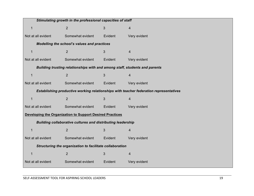| Stimulating growth in the professional capacities of staff                            |                  |         |                |  |  |  |
|---------------------------------------------------------------------------------------|------------------|---------|----------------|--|--|--|
| $\mathbf{1}$                                                                          | $\overline{2}$   | 3       | $\overline{4}$ |  |  |  |
| Not at all evident                                                                    | Somewhat evident | Evident | Very evident   |  |  |  |
| Modelling the school's values and practices                                           |                  |         |                |  |  |  |
| $\mathbf 1$                                                                           | $\overline{2}$   | 3       | $\overline{4}$ |  |  |  |
| Not at all evident                                                                    | Somewhat evident | Evident | Very evident   |  |  |  |
| Building trusting relationships with and among staff, students and parents            |                  |         |                |  |  |  |
| $\mathbf{1}$                                                                          | $\overline{2}$   | 3       | $\overline{4}$ |  |  |  |
| Not at all evident                                                                    | Somewhat evident | Evident | Very evident   |  |  |  |
| Establishing productive working relationships with teacher federation representatives |                  |         |                |  |  |  |
| $\mathbf 1$                                                                           | $\overline{2}$   | 3       | $\overline{4}$ |  |  |  |
| Not at all evident                                                                    | Somewhat evident | Evident | Very evident   |  |  |  |
| <b>Developing the Organization to Support Desired Practices</b>                       |                  |         |                |  |  |  |
| <b>Building collaborative cultures and distributing leadership</b>                    |                  |         |                |  |  |  |
| 1                                                                                     | $\overline{2}$   | 3       | 4              |  |  |  |
| Not at all evident                                                                    | Somewhat evident | Evident | Very evident   |  |  |  |
| Structuring the organization to facilitate collaboration                              |                  |         |                |  |  |  |
| $\mathbf{1}$                                                                          | $\overline{2}$   | 3       | $\overline{4}$ |  |  |  |
| Not at all evident                                                                    | Somewhat evident | Evident | Very evident   |  |  |  |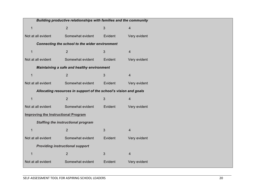| Building productive relationships with families and the community |                                                |         |                         |  |  |  |
|-------------------------------------------------------------------|------------------------------------------------|---------|-------------------------|--|--|--|
| 1                                                                 | $\overline{2}$                                 | 3       | 4                       |  |  |  |
| Not at all evident                                                | Somewhat evident                               | Evident | Very evident            |  |  |  |
|                                                                   | Connecting the school to the wider environment |         |                         |  |  |  |
| 1                                                                 | 2                                              | 3       | $\overline{4}$          |  |  |  |
| Not at all evident                                                | Somewhat evident                               | Evident | Very evident            |  |  |  |
| Maintaining a safe and healthy environment                        |                                                |         |                         |  |  |  |
| 1                                                                 | 2                                              | 3       | $\overline{4}$          |  |  |  |
| Not at all evident                                                | Somewhat evident                               | Evident | Very evident            |  |  |  |
| Allocating resources in support of the school's vision and goals  |                                                |         |                         |  |  |  |
| 1                                                                 | $\overline{2}$                                 | 3       | $\overline{4}$          |  |  |  |
| Not at all evident                                                | Somewhat evident                               | Evident | Very evident            |  |  |  |
| <b>Improving the Instructional Program</b>                        |                                                |         |                         |  |  |  |
| <b>Staffing the instructional program</b>                         |                                                |         |                         |  |  |  |
| 1                                                                 | $\overline{2}$                                 | 3       | $\overline{4}$          |  |  |  |
| Not at all evident                                                | Somewhat evident                               | Evident | Very evident            |  |  |  |
| <b>Providing instructional support</b>                            |                                                |         |                         |  |  |  |
|                                                                   | $\overline{2}$                                 | 3       | $\overline{\mathbf{4}}$ |  |  |  |
| Not at all evident                                                | Somewhat evident                               | Evident | Very evident            |  |  |  |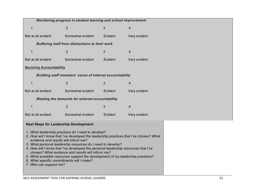| Monitoring progress in student learning and school improvement                                                                                                                                                                                                                                                                                                                                                                                                                                                                                           |                                                        |         |              |  |  |  |
|----------------------------------------------------------------------------------------------------------------------------------------------------------------------------------------------------------------------------------------------------------------------------------------------------------------------------------------------------------------------------------------------------------------------------------------------------------------------------------------------------------------------------------------------------------|--------------------------------------------------------|---------|--------------|--|--|--|
| 1                                                                                                                                                                                                                                                                                                                                                                                                                                                                                                                                                        | 2                                                      | 3       | 4            |  |  |  |
| Not at all evident                                                                                                                                                                                                                                                                                                                                                                                                                                                                                                                                       | Somewhat evident                                       | Evident | Very evident |  |  |  |
|                                                                                                                                                                                                                                                                                                                                                                                                                                                                                                                                                          | <b>Buffering staff from distractions to their work</b> |         |              |  |  |  |
| 1                                                                                                                                                                                                                                                                                                                                                                                                                                                                                                                                                        | $\overline{2}$                                         | 3       | 4            |  |  |  |
| Not at all evident                                                                                                                                                                                                                                                                                                                                                                                                                                                                                                                                       | Somewhat evident                                       | Evident | Very evident |  |  |  |
| <b>Securing Accountability</b>                                                                                                                                                                                                                                                                                                                                                                                                                                                                                                                           |                                                        |         |              |  |  |  |
| <b>Building staff members' sense of internal accountability</b>                                                                                                                                                                                                                                                                                                                                                                                                                                                                                          |                                                        |         |              |  |  |  |
| 1                                                                                                                                                                                                                                                                                                                                                                                                                                                                                                                                                        | $\overline{2}$                                         | 3       | 4            |  |  |  |
| Not at all evident                                                                                                                                                                                                                                                                                                                                                                                                                                                                                                                                       | Somewhat evident                                       | Evident | Very evident |  |  |  |
|                                                                                                                                                                                                                                                                                                                                                                                                                                                                                                                                                          | Meeting the demands for external accountability        |         |              |  |  |  |
| 1                                                                                                                                                                                                                                                                                                                                                                                                                                                                                                                                                        | $\overline{2}$                                         | 3       | 4            |  |  |  |
| Not at all evident                                                                                                                                                                                                                                                                                                                                                                                                                                                                                                                                       | Somewhat evident                                       | Evident | Very evident |  |  |  |
| <b>Next Steps for Leadership Development:</b>                                                                                                                                                                                                                                                                                                                                                                                                                                                                                                            |                                                        |         |              |  |  |  |
| 1. What leadership practices do I need to develop?<br>2. How will I know that I've developed the leadership practices that I've chosen? What<br>evidence and results will inform me?<br>3. What personal leadership resources do I need to develop?<br>4. How will I know that I've developed the personal leadership resources that I've<br>chosen? What evidence and results will inform me?<br>5. What available resources support the development of my leadership practices?<br>6. What specific commitments will I make?<br>7. Who can support me? |                                                        |         |              |  |  |  |